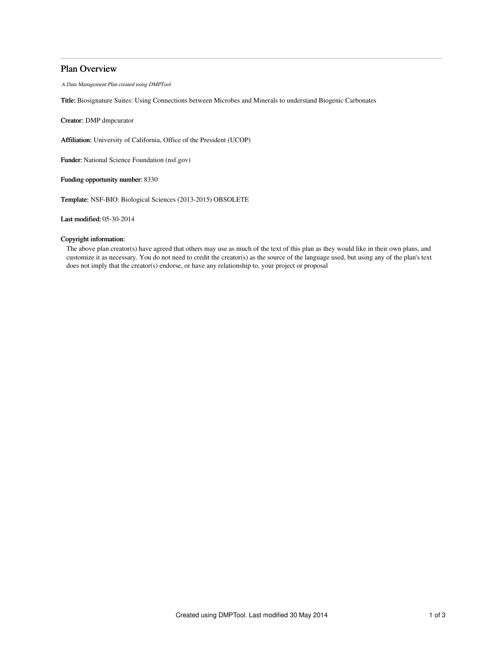# Plan Overview

A Data Management Plan created using DMPTool

Title: Biosignature Suites: Using Connections between Microbes and Minerals to understand Biogenic Carbonates

Creator: DMP dmpcurator

Affiliation: University of California, Office of the President (UCOP)

Funder: National Science Foundation (nsf.gov)

Funding opportunity number: 8330

Template: NSF-BIO: Biological Sciences (2013-2015) OBSOLETE

Last modified: 05-30-2014

# Copyright information:

The above plan creator(s) have agreed that others may use as much of the text of this plan as they would like in their own plans, and customize it as necessary. You do not need to credit the creator(s) as the source of the language used, but using any of the plan's text does not imply that the creator(s) endorse, or have any relationship to, your project or proposal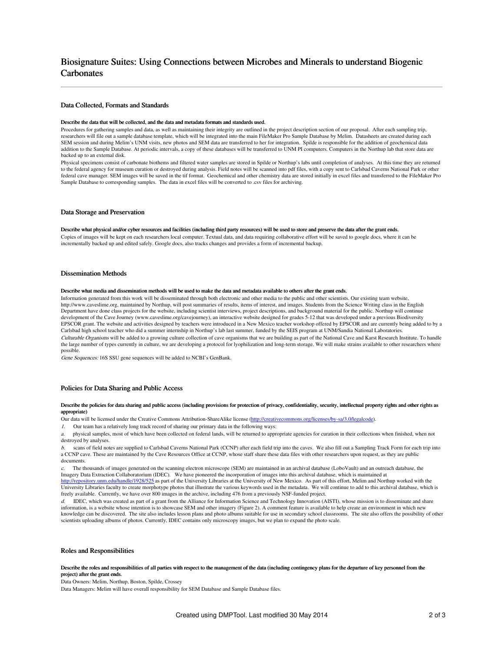# Biosignature Suites: Using Connections between Microbes and Minerals to understand Biogenic **Carbonates**

# Data Collected, Formats and Standards

#### Describe the data that will be collected, and the data and metadata formats and standards used.

Procedures for gathering samples and data, as well as maintaining their integrity are outlined in the project description section of our proposal. After each sampling trip, researchers will file out a sample database template, which will be integrated into the main FileMaker Pro Sample Database by Melim. Datasheets are created during each SEM session and during Melim's UNM visits, new photos and SEM data are transferred to her for integration. Spilde is responsible for the addition of geochemical data addition to the Sample Database. At periodic intervals, a copy of these databases will be transferred to UNM PI computers. Computers in the Northup lab that store data are addition to the Sample Database. At periodic inter backed up to an external disk.

Physical specimens consist of carbonate biothems and filtered water samples are stored in Spilde or Northup's labs until completion of analyses. At this time they are returned to the federal agency for museum curation or destroyed during analysis. Field notes will be scanned into pdf files, with a copy sent to Carlsbad Caverns National Park or other federal cave manager. SEM images will be saved in the tif format. Geochemical and other chemistry data are stored initially in excel files and transferred to the FileMaker Pro Sample Database to corresponding samples. The data in excel files will be converted to .csv files for archiving.

# Data Storage and Preservation

#### Describe what physical and/or cyber resources and facilities (including third party resources) will be used to store and preserve the data after the grant ends.

Copies of images will be kept on each researchers local computer. Textual data, and data requiring collaborative effort will be saved to google docs, where it can be incrementally backed up and edited safely. Google docs, also tracks changes and provides a form of incremental backup.

### Dissemination Methods

#### Describe what media and dissemination methods will be used to make the data and metadata available to others after the grant ends.

Information generated from this work will be disseminated through both electronic and other media to the public and other scientists. Our existing team website, http://www.caveslime.org, maintained by Northup, will post summaries of results, items of interest, and images. Students from the Science Writing class in the English Department have done class projects for the website, including scientist interviews, project descriptions, and background material for the public. Northup will continue development of the Cave Journey (www.caveslime.org/cavejourney), an interactive website designed for grades 5-12 that was developed under a previous Biodiversity EPSCOR grant. The website and activities designed by teachers were introduced in a New Mexico teacher workshop offered by EPSCOR and are currently being added to by a Carlsbad high school teacher who did a summer internship in Northup's lab last summer, funded by the SEIS program at UNM/Sandia National Laboratories. Culturable Organisms will be added to a growing culture collection of cave organisms that we are building as part of the National Cave and Karst Research Institute. To handle the large number of types currently in culture, we are developing a protocol for lyophilization and long-term storage. We will make strains available to other researchers where possible.

Gene Sequences: 16S SSU gene sequences will be added to NCBI's GenBank.

# Policies for Data Sharing and Public Access

Describe the policies for data sharing and public access (including provisions for protection of privacy, confidentiality, security, intellectual property rights and other rights as appropriate)

Our data will be licensed under the Creative Commons Attribution-ShareAlike license [\(http://creativecommons.org/licenses/by-sa/3.0/legalcode](http://creativecommons.org/licenses/by-sa/3.0/legalcode)).

1. Our team has a relatively long track record of sharing our primary data in the following ways:

a. physical samples, most of which have been collected on federal lands, will be returned to appropriate agencies for curation in their collections when finished, when not destroyed by analyses.

b. scans of field notes are supplied to Carlsbad Caverns National Park (CCNP) after each field trip into the caves. We also fill out a Sampling Track Form for each trip into a CCNP cave. These are maintained by the Cave Resources Office at CCNP, whose staff share these data files with other researchers upon request, as they are public documents.

 $c$ . The thousands of images generated on the scanning electron microscope (SEM) are maintained in an archival database (LoboVault) and an outreach database, the Imagery Data Extraction Collaboratorium (IDEC). We have pioneered the incorporation of images into this archival database, which is maintained at<br><u><http://repository.unm.edu/handle/1928/525></u> as part of the University Librar University Libraries faculty to create morphotype photos that illustrate the various keywords used in the metadata. We will continue to add to this archival database, which is freely available. Currently, we have over 800 images in the archive, including 476 from a previously NSF-funded project.

IDEC, which was created as part of a grant from the Alliance for Information Science and Technology Innovation (AISTI), whose mission is to disseminate and share information, is a website whose intention is to showcase SEM and other imagery (Figure 2). A comment feature is available to help create an environment in which new knowledge can be discovered. The site also includes lesson plans and photo albums suitable for use in secondary school classrooms. The site also offers the possibility of other scientists uploading albums of photos. Currently, IDEC contains only microscopy images, but we plan to expand the photo scale.

# Roles and Responsibilities

#### Describe the roles and responsibilities of all parties with respect to the management of the data (including contingency plans for the departure of key personnel from the project) after the grant ends.

Data Owners: Melim, Northup, Boston, Spilde, Crossey

Data Managers: Melim will have overall responsibility for SEM Database and Sample Database files.